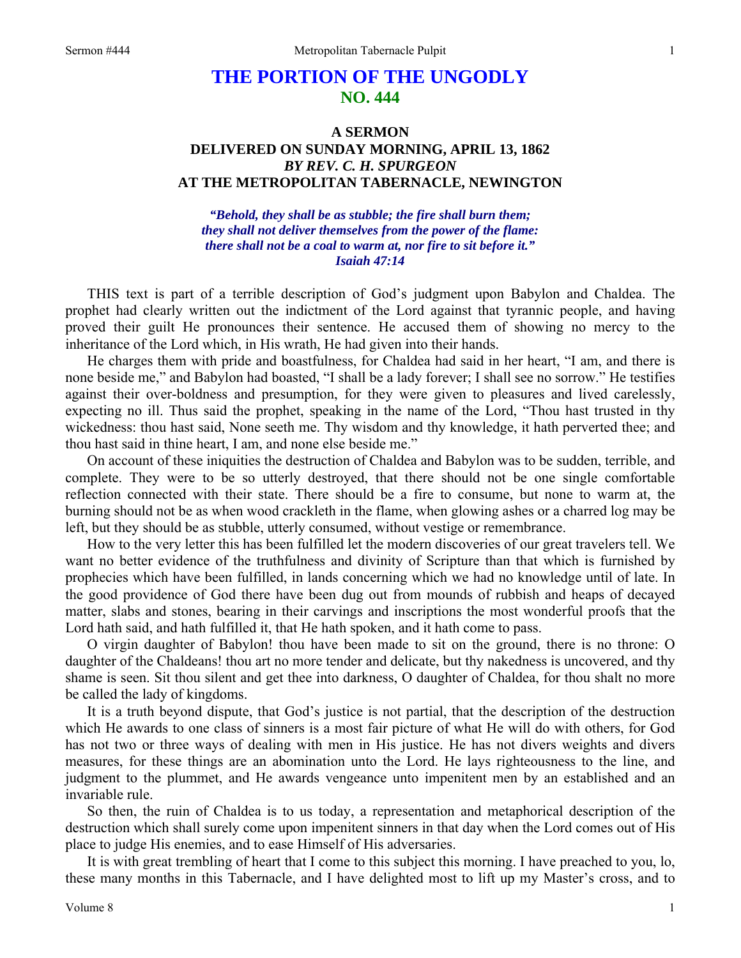## **THE PORTION OF THE UNGODLY NO. 444**

## **A SERMON DELIVERED ON SUNDAY MORNING, APRIL 13, 1862**  *BY REV. C. H. SPURGEON*  **AT THE METROPOLITAN TABERNACLE, NEWINGTON**

*"Behold, they shall be as stubble; the fire shall burn them; they shall not deliver themselves from the power of the flame: there shall not be a coal to warm at, nor fire to sit before it." Isaiah 47:14* 

THIS text is part of a terrible description of God's judgment upon Babylon and Chaldea. The prophet had clearly written out the indictment of the Lord against that tyrannic people, and having proved their guilt He pronounces their sentence. He accused them of showing no mercy to the inheritance of the Lord which, in His wrath, He had given into their hands.

He charges them with pride and boastfulness, for Chaldea had said in her heart, "I am, and there is none beside me," and Babylon had boasted, "I shall be a lady forever; I shall see no sorrow." He testifies against their over-boldness and presumption, for they were given to pleasures and lived carelessly, expecting no ill. Thus said the prophet, speaking in the name of the Lord, "Thou hast trusted in thy wickedness: thou hast said, None seeth me. Thy wisdom and thy knowledge, it hath perverted thee; and thou hast said in thine heart, I am, and none else beside me."

On account of these iniquities the destruction of Chaldea and Babylon was to be sudden, terrible, and complete. They were to be so utterly destroyed, that there should not be one single comfortable reflection connected with their state. There should be a fire to consume, but none to warm at, the burning should not be as when wood crackleth in the flame, when glowing ashes or a charred log may be left, but they should be as stubble, utterly consumed, without vestige or remembrance.

How to the very letter this has been fulfilled let the modern discoveries of our great travelers tell. We want no better evidence of the truthfulness and divinity of Scripture than that which is furnished by prophecies which have been fulfilled, in lands concerning which we had no knowledge until of late. In the good providence of God there have been dug out from mounds of rubbish and heaps of decayed matter, slabs and stones, bearing in their carvings and inscriptions the most wonderful proofs that the Lord hath said, and hath fulfilled it, that He hath spoken, and it hath come to pass.

O virgin daughter of Babylon! thou have been made to sit on the ground, there is no throne: O daughter of the Chaldeans! thou art no more tender and delicate, but thy nakedness is uncovered, and thy shame is seen. Sit thou silent and get thee into darkness, O daughter of Chaldea, for thou shalt no more be called the lady of kingdoms.

It is a truth beyond dispute, that God's justice is not partial, that the description of the destruction which He awards to one class of sinners is a most fair picture of what He will do with others, for God has not two or three ways of dealing with men in His justice. He has not divers weights and divers measures, for these things are an abomination unto the Lord. He lays righteousness to the line, and judgment to the plummet, and He awards vengeance unto impenitent men by an established and an invariable rule.

So then, the ruin of Chaldea is to us today, a representation and metaphorical description of the destruction which shall surely come upon impenitent sinners in that day when the Lord comes out of His place to judge His enemies, and to ease Himself of His adversaries.

It is with great trembling of heart that I come to this subject this morning. I have preached to you, lo, these many months in this Tabernacle, and I have delighted most to lift up my Master's cross, and to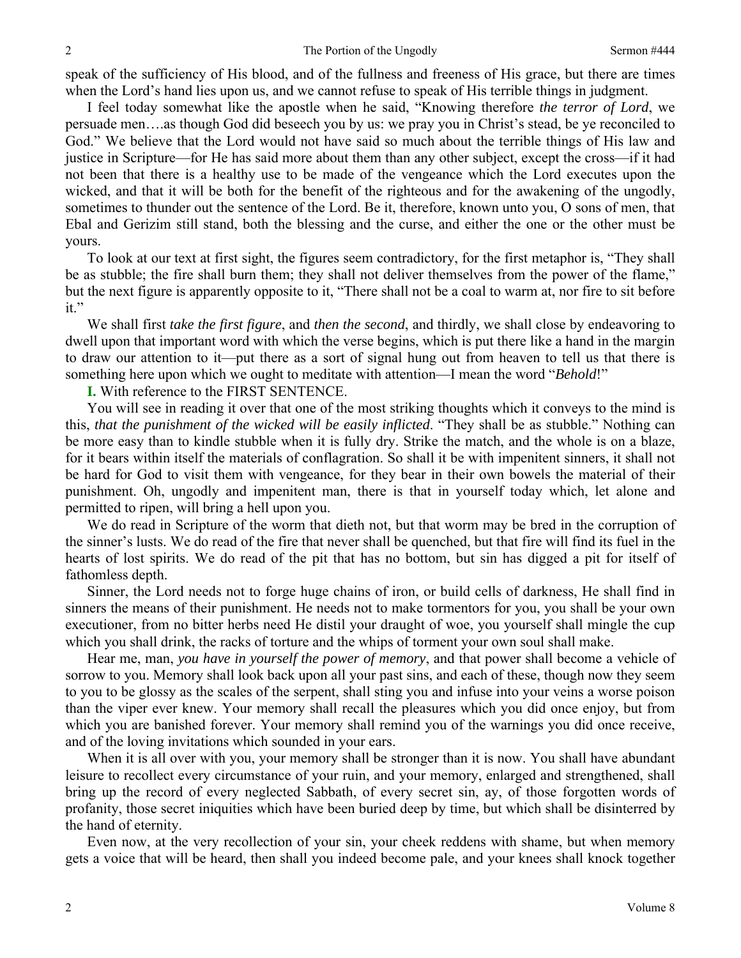speak of the sufficiency of His blood, and of the fullness and freeness of His grace, but there are times when the Lord's hand lies upon us, and we cannot refuse to speak of His terrible things in judgment.

I feel today somewhat like the apostle when he said, "Knowing therefore *the terror of Lord*, we persuade men….as though God did beseech you by us: we pray you in Christ's stead, be ye reconciled to God." We believe that the Lord would not have said so much about the terrible things of His law and justice in Scripture—for He has said more about them than any other subject, except the cross—if it had not been that there is a healthy use to be made of the vengeance which the Lord executes upon the wicked, and that it will be both for the benefit of the righteous and for the awakening of the ungodly, sometimes to thunder out the sentence of the Lord. Be it, therefore, known unto you, O sons of men, that Ebal and Gerizim still stand, both the blessing and the curse, and either the one or the other must be yours.

To look at our text at first sight, the figures seem contradictory, for the first metaphor is, "They shall be as stubble; the fire shall burn them; they shall not deliver themselves from the power of the flame," but the next figure is apparently opposite to it, "There shall not be a coal to warm at, nor fire to sit before it."

We shall first *take the first figure*, and *then the second*, and thirdly, we shall close by endeavoring to dwell upon that important word with which the verse begins, which is put there like a hand in the margin to draw our attention to it—put there as a sort of signal hung out from heaven to tell us that there is something here upon which we ought to meditate with attention—I mean the word "*Behold*!"

**I.** With reference to the FIRST SENTENCE.

You will see in reading it over that one of the most striking thoughts which it conveys to the mind is this, *that the punishment of the wicked will be easily inflicted*. "They shall be as stubble." Nothing can be more easy than to kindle stubble when it is fully dry. Strike the match, and the whole is on a blaze, for it bears within itself the materials of conflagration. So shall it be with impenitent sinners, it shall not be hard for God to visit them with vengeance, for they bear in their own bowels the material of their punishment. Oh, ungodly and impenitent man, there is that in yourself today which, let alone and permitted to ripen, will bring a hell upon you.

We do read in Scripture of the worm that dieth not, but that worm may be bred in the corruption of the sinner's lusts. We do read of the fire that never shall be quenched, but that fire will find its fuel in the hearts of lost spirits. We do read of the pit that has no bottom, but sin has digged a pit for itself of fathomless depth.

Sinner, the Lord needs not to forge huge chains of iron, or build cells of darkness, He shall find in sinners the means of their punishment. He needs not to make tormentors for you, you shall be your own executioner, from no bitter herbs need He distil your draught of woe, you yourself shall mingle the cup which you shall drink, the racks of torture and the whips of torment your own soul shall make.

Hear me, man, *you have in yourself the power of memory*, and that power shall become a vehicle of sorrow to you. Memory shall look back upon all your past sins, and each of these, though now they seem to you to be glossy as the scales of the serpent, shall sting you and infuse into your veins a worse poison than the viper ever knew. Your memory shall recall the pleasures which you did once enjoy, but from which you are banished forever. Your memory shall remind you of the warnings you did once receive, and of the loving invitations which sounded in your ears.

When it is all over with you, your memory shall be stronger than it is now. You shall have abundant leisure to recollect every circumstance of your ruin, and your memory, enlarged and strengthened, shall bring up the record of every neglected Sabbath, of every secret sin, ay, of those forgotten words of profanity, those secret iniquities which have been buried deep by time, but which shall be disinterred by the hand of eternity.

Even now, at the very recollection of your sin, your cheek reddens with shame, but when memory gets a voice that will be heard, then shall you indeed become pale, and your knees shall knock together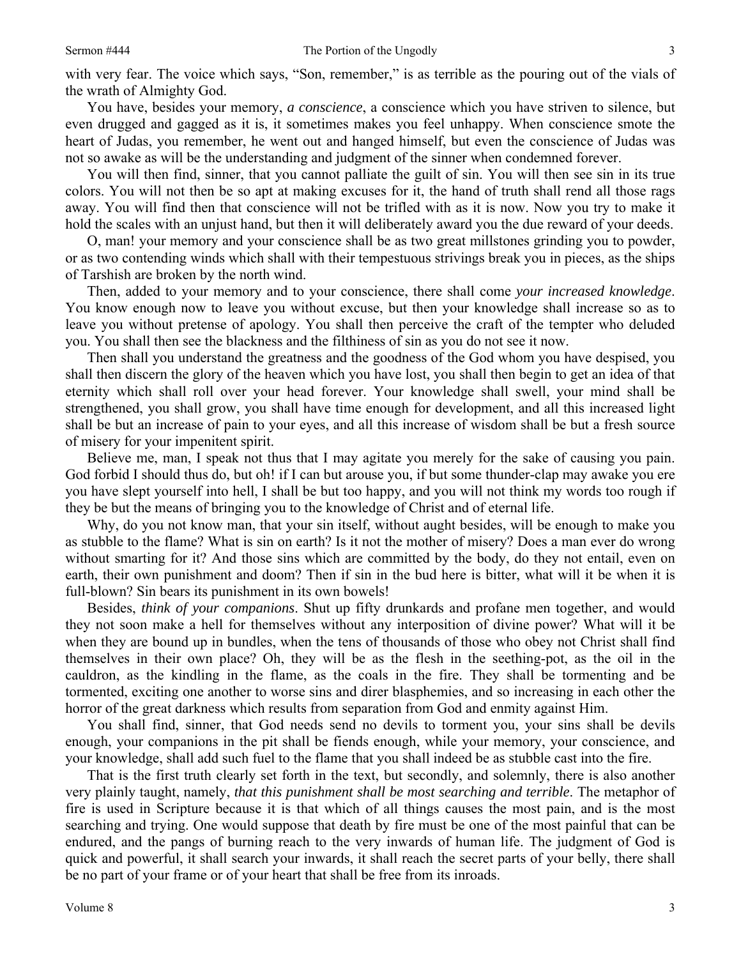with very fear. The voice which says, "Son, remember," is as terrible as the pouring out of the vials of the wrath of Almighty God.

You have, besides your memory, *a conscience*, a conscience which you have striven to silence, but even drugged and gagged as it is, it sometimes makes you feel unhappy. When conscience smote the heart of Judas, you remember, he went out and hanged himself, but even the conscience of Judas was not so awake as will be the understanding and judgment of the sinner when condemned forever.

You will then find, sinner, that you cannot palliate the guilt of sin. You will then see sin in its true colors. You will not then be so apt at making excuses for it, the hand of truth shall rend all those rags away. You will find then that conscience will not be trifled with as it is now. Now you try to make it hold the scales with an unjust hand, but then it will deliberately award you the due reward of your deeds.

O, man! your memory and your conscience shall be as two great millstones grinding you to powder, or as two contending winds which shall with their tempestuous strivings break you in pieces, as the ships of Tarshish are broken by the north wind.

Then, added to your memory and to your conscience, there shall come *your increased knowledge*. You know enough now to leave you without excuse, but then your knowledge shall increase so as to leave you without pretense of apology. You shall then perceive the craft of the tempter who deluded you. You shall then see the blackness and the filthiness of sin as you do not see it now.

Then shall you understand the greatness and the goodness of the God whom you have despised, you shall then discern the glory of the heaven which you have lost, you shall then begin to get an idea of that eternity which shall roll over your head forever. Your knowledge shall swell, your mind shall be strengthened, you shall grow, you shall have time enough for development, and all this increased light shall be but an increase of pain to your eyes, and all this increase of wisdom shall be but a fresh source of misery for your impenitent spirit.

Believe me, man, I speak not thus that I may agitate you merely for the sake of causing you pain. God forbid I should thus do, but oh! if I can but arouse you, if but some thunder-clap may awake you ere you have slept yourself into hell, I shall be but too happy, and you will not think my words too rough if they be but the means of bringing you to the knowledge of Christ and of eternal life.

Why, do you not know man, that your sin itself, without aught besides, will be enough to make you as stubble to the flame? What is sin on earth? Is it not the mother of misery? Does a man ever do wrong without smarting for it? And those sins which are committed by the body, do they not entail, even on earth, their own punishment and doom? Then if sin in the bud here is bitter, what will it be when it is full-blown? Sin bears its punishment in its own bowels!

Besides, *think of your companions*. Shut up fifty drunkards and profane men together, and would they not soon make a hell for themselves without any interposition of divine power? What will it be when they are bound up in bundles, when the tens of thousands of those who obey not Christ shall find themselves in their own place? Oh, they will be as the flesh in the seething-pot, as the oil in the cauldron, as the kindling in the flame, as the coals in the fire. They shall be tormenting and be tormented, exciting one another to worse sins and direr blasphemies, and so increasing in each other the horror of the great darkness which results from separation from God and enmity against Him.

You shall find, sinner, that God needs send no devils to torment you, your sins shall be devils enough, your companions in the pit shall be fiends enough, while your memory, your conscience, and your knowledge, shall add such fuel to the flame that you shall indeed be as stubble cast into the fire.

That is the first truth clearly set forth in the text, but secondly, and solemnly, there is also another very plainly taught, namely, *that this punishment shall be most searching and terrible*. The metaphor of fire is used in Scripture because it is that which of all things causes the most pain, and is the most searching and trying. One would suppose that death by fire must be one of the most painful that can be endured, and the pangs of burning reach to the very inwards of human life. The judgment of God is quick and powerful, it shall search your inwards, it shall reach the secret parts of your belly, there shall be no part of your frame or of your heart that shall be free from its inroads.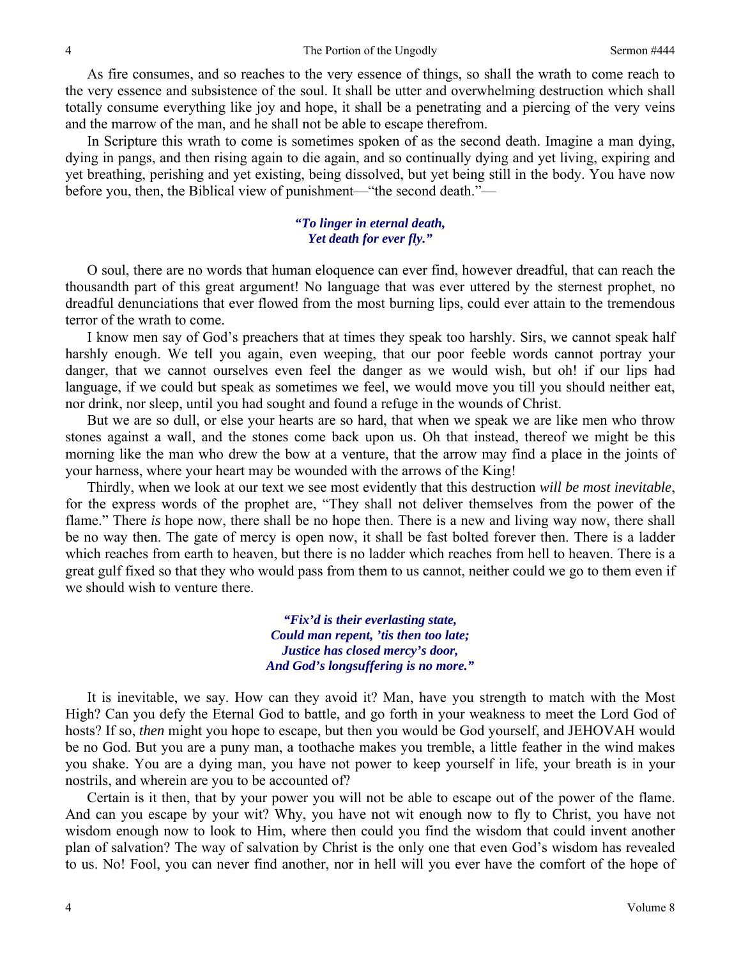As fire consumes, and so reaches to the very essence of things, so shall the wrath to come reach to the very essence and subsistence of the soul. It shall be utter and overwhelming destruction which shall totally consume everything like joy and hope, it shall be a penetrating and a piercing of the very veins and the marrow of the man, and he shall not be able to escape therefrom.

In Scripture this wrath to come is sometimes spoken of as the second death. Imagine a man dying, dying in pangs, and then rising again to die again, and so continually dying and yet living, expiring and yet breathing, perishing and yet existing, being dissolved, but yet being still in the body. You have now before you, then, the Biblical view of punishment—"the second death."—

## *"To linger in eternal death, Yet death for ever fly."*

O soul, there are no words that human eloquence can ever find, however dreadful, that can reach the thousandth part of this great argument! No language that was ever uttered by the sternest prophet, no dreadful denunciations that ever flowed from the most burning lips, could ever attain to the tremendous terror of the wrath to come.

I know men say of God's preachers that at times they speak too harshly. Sirs, we cannot speak half harshly enough. We tell you again, even weeping, that our poor feeble words cannot portray your danger, that we cannot ourselves even feel the danger as we would wish, but oh! if our lips had language, if we could but speak as sometimes we feel, we would move you till you should neither eat, nor drink, nor sleep, until you had sought and found a refuge in the wounds of Christ.

But we are so dull, or else your hearts are so hard, that when we speak we are like men who throw stones against a wall, and the stones come back upon us. Oh that instead, thereof we might be this morning like the man who drew the bow at a venture, that the arrow may find a place in the joints of your harness, where your heart may be wounded with the arrows of the King!

Thirdly, when we look at our text we see most evidently that this destruction *will be most inevitable*, for the express words of the prophet are, "They shall not deliver themselves from the power of the flame." There *is* hope now, there shall be no hope then. There is a new and living way now, there shall be no way then. The gate of mercy is open now, it shall be fast bolted forever then. There is a ladder which reaches from earth to heaven, but there is no ladder which reaches from hell to heaven. There is a great gulf fixed so that they who would pass from them to us cannot, neither could we go to them even if we should wish to venture there.

> *"Fix'd is their everlasting state, Could man repent, 'tis then too late; Justice has closed mercy's door, And God's longsuffering is no more."*

It is inevitable, we say. How can they avoid it? Man, have you strength to match with the Most High? Can you defy the Eternal God to battle, and go forth in your weakness to meet the Lord God of hosts? If so, *then* might you hope to escape, but then you would be God yourself, and JEHOVAH would be no God. But you are a puny man, a toothache makes you tremble, a little feather in the wind makes you shake. You are a dying man, you have not power to keep yourself in life, your breath is in your nostrils, and wherein are you to be accounted of?

Certain is it then, that by your power you will not be able to escape out of the power of the flame. And can you escape by your wit? Why, you have not wit enough now to fly to Christ, you have not wisdom enough now to look to Him, where then could you find the wisdom that could invent another plan of salvation? The way of salvation by Christ is the only one that even God's wisdom has revealed to us. No! Fool, you can never find another, nor in hell will you ever have the comfort of the hope of

 $\Delta$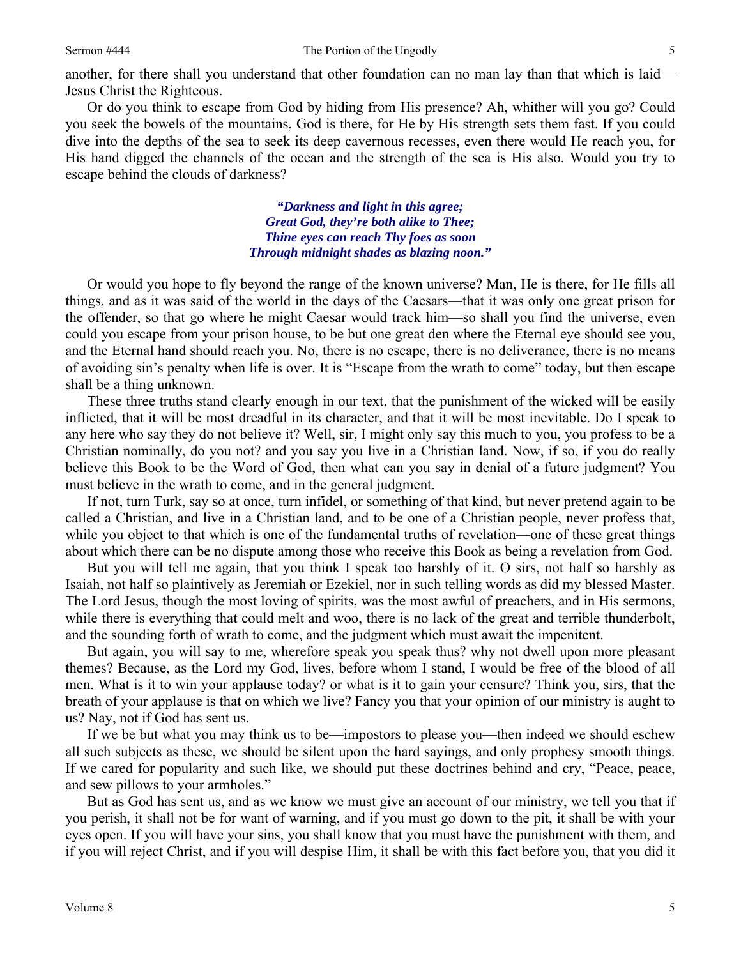another, for there shall you understand that other foundation can no man lay than that which is laid— Jesus Christ the Righteous.

Or do you think to escape from God by hiding from His presence? Ah, whither will you go? Could you seek the bowels of the mountains, God is there, for He by His strength sets them fast. If you could dive into the depths of the sea to seek its deep cavernous recesses, even there would He reach you, for His hand digged the channels of the ocean and the strength of the sea is His also. Would you try to escape behind the clouds of darkness?

> *"Darkness and light in this agree; Great God, they're both alike to Thee; Thine eyes can reach Thy foes as soon Through midnight shades as blazing noon."*

Or would you hope to fly beyond the range of the known universe? Man, He is there, for He fills all things, and as it was said of the world in the days of the Caesars—that it was only one great prison for the offender, so that go where he might Caesar would track him—so shall you find the universe, even could you escape from your prison house, to be but one great den where the Eternal eye should see you, and the Eternal hand should reach you. No, there is no escape, there is no deliverance, there is no means of avoiding sin's penalty when life is over. It is "Escape from the wrath to come" today, but then escape shall be a thing unknown.

These three truths stand clearly enough in our text, that the punishment of the wicked will be easily inflicted, that it will be most dreadful in its character, and that it will be most inevitable. Do I speak to any here who say they do not believe it? Well, sir, I might only say this much to you, you profess to be a Christian nominally, do you not? and you say you live in a Christian land. Now, if so, if you do really believe this Book to be the Word of God, then what can you say in denial of a future judgment? You must believe in the wrath to come, and in the general judgment.

If not, turn Turk, say so at once, turn infidel, or something of that kind, but never pretend again to be called a Christian, and live in a Christian land, and to be one of a Christian people, never profess that, while you object to that which is one of the fundamental truths of revelation—one of these great things about which there can be no dispute among those who receive this Book as being a revelation from God.

But you will tell me again, that you think I speak too harshly of it. O sirs, not half so harshly as Isaiah, not half so plaintively as Jeremiah or Ezekiel, nor in such telling words as did my blessed Master. The Lord Jesus, though the most loving of spirits, was the most awful of preachers, and in His sermons, while there is everything that could melt and woo, there is no lack of the great and terrible thunderbolt, and the sounding forth of wrath to come, and the judgment which must await the impenitent.

But again, you will say to me, wherefore speak you speak thus? why not dwell upon more pleasant themes? Because, as the Lord my God, lives, before whom I stand, I would be free of the blood of all men. What is it to win your applause today? or what is it to gain your censure? Think you, sirs, that the breath of your applause is that on which we live? Fancy you that your opinion of our ministry is aught to us? Nay, not if God has sent us.

If we be but what you may think us to be—impostors to please you—then indeed we should eschew all such subjects as these, we should be silent upon the hard sayings, and only prophesy smooth things. If we cared for popularity and such like, we should put these doctrines behind and cry, "Peace, peace, and sew pillows to your armholes."

But as God has sent us, and as we know we must give an account of our ministry, we tell you that if you perish, it shall not be for want of warning, and if you must go down to the pit, it shall be with your eyes open. If you will have your sins, you shall know that you must have the punishment with them, and if you will reject Christ, and if you will despise Him, it shall be with this fact before you, that you did it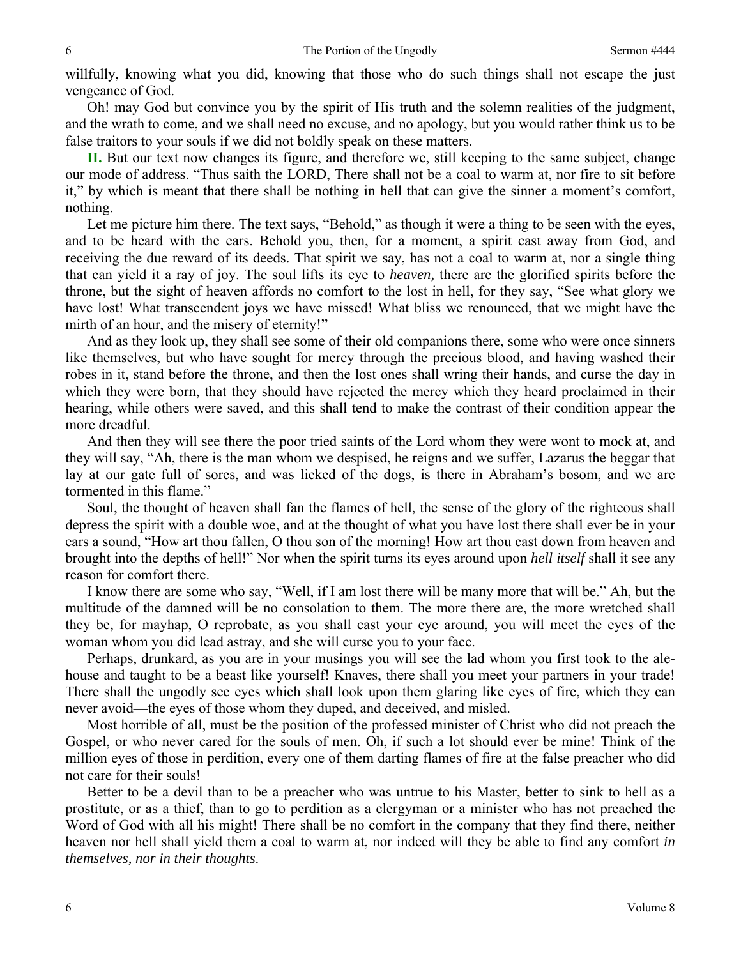willfully, knowing what you did, knowing that those who do such things shall not escape the just vengeance of God.

Oh! may God but convince you by the spirit of His truth and the solemn realities of the judgment, and the wrath to come, and we shall need no excuse, and no apology, but you would rather think us to be false traitors to your souls if we did not boldly speak on these matters.

**II.** But our text now changes its figure, and therefore we, still keeping to the same subject, change our mode of address. "Thus saith the LORD, There shall not be a coal to warm at, nor fire to sit before it," by which is meant that there shall be nothing in hell that can give the sinner a moment's comfort, nothing.

Let me picture him there. The text says, "Behold," as though it were a thing to be seen with the eyes, and to be heard with the ears. Behold you, then, for a moment, a spirit cast away from God, and receiving the due reward of its deeds. That spirit we say, has not a coal to warm at, nor a single thing that can yield it a ray of joy. The soul lifts its eye to *heaven,* there are the glorified spirits before the throne, but the sight of heaven affords no comfort to the lost in hell, for they say, "See what glory we have lost! What transcendent joys we have missed! What bliss we renounced, that we might have the mirth of an hour, and the misery of eternity!"

And as they look up, they shall see some of their old companions there, some who were once sinners like themselves, but who have sought for mercy through the precious blood, and having washed their robes in it, stand before the throne, and then the lost ones shall wring their hands, and curse the day in which they were born, that they should have rejected the mercy which they heard proclaimed in their hearing, while others were saved, and this shall tend to make the contrast of their condition appear the more dreadful.

And then they will see there the poor tried saints of the Lord whom they were wont to mock at, and they will say, "Ah, there is the man whom we despised, he reigns and we suffer, Lazarus the beggar that lay at our gate full of sores, and was licked of the dogs, is there in Abraham's bosom, and we are tormented in this flame."

Soul, the thought of heaven shall fan the flames of hell, the sense of the glory of the righteous shall depress the spirit with a double woe, and at the thought of what you have lost there shall ever be in your ears a sound, "How art thou fallen, O thou son of the morning! How art thou cast down from heaven and brought into the depths of hell!" Nor when the spirit turns its eyes around upon *hell itself* shall it see any reason for comfort there.

I know there are some who say, "Well, if I am lost there will be many more that will be." Ah, but the multitude of the damned will be no consolation to them. The more there are, the more wretched shall they be, for mayhap, O reprobate, as you shall cast your eye around, you will meet the eyes of the woman whom you did lead astray, and she will curse you to your face.

Perhaps, drunkard, as you are in your musings you will see the lad whom you first took to the alehouse and taught to be a beast like yourself! Knaves, there shall you meet your partners in your trade! There shall the ungodly see eyes which shall look upon them glaring like eyes of fire, which they can never avoid—the eyes of those whom they duped, and deceived, and misled.

Most horrible of all, must be the position of the professed minister of Christ who did not preach the Gospel, or who never cared for the souls of men. Oh, if such a lot should ever be mine! Think of the million eyes of those in perdition, every one of them darting flames of fire at the false preacher who did not care for their souls!

Better to be a devil than to be a preacher who was untrue to his Master, better to sink to hell as a prostitute, or as a thief, than to go to perdition as a clergyman or a minister who has not preached the Word of God with all his might! There shall be no comfort in the company that they find there, neither heaven nor hell shall yield them a coal to warm at, nor indeed will they be able to find any comfort *in themselves, nor in their thoughts*.

6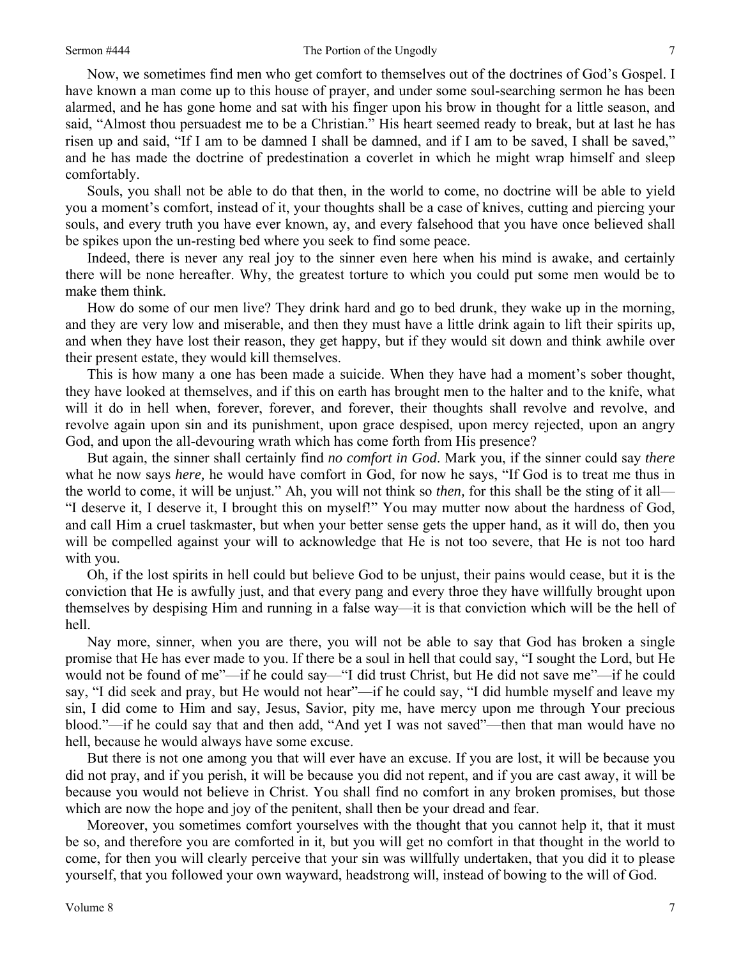7

Now, we sometimes find men who get comfort to themselves out of the doctrines of God's Gospel. I have known a man come up to this house of prayer, and under some soul-searching sermon he has been alarmed, and he has gone home and sat with his finger upon his brow in thought for a little season, and said, "Almost thou persuadest me to be a Christian." His heart seemed ready to break, but at last he has risen up and said, "If I am to be damned I shall be damned, and if I am to be saved, I shall be saved," and he has made the doctrine of predestination a coverlet in which he might wrap himself and sleep comfortably.

Souls, you shall not be able to do that then, in the world to come, no doctrine will be able to yield you a moment's comfort, instead of it, your thoughts shall be a case of knives, cutting and piercing your souls, and every truth you have ever known, ay, and every falsehood that you have once believed shall be spikes upon the un-resting bed where you seek to find some peace.

Indeed, there is never any real joy to the sinner even here when his mind is awake, and certainly there will be none hereafter. Why, the greatest torture to which you could put some men would be to make them think*.*

How do some of our men live? They drink hard and go to bed drunk, they wake up in the morning, and they are very low and miserable, and then they must have a little drink again to lift their spirits up, and when they have lost their reason, they get happy, but if they would sit down and think awhile over their present estate, they would kill themselves.

This is how many a one has been made a suicide. When they have had a moment's sober thought, they have looked at themselves, and if this on earth has brought men to the halter and to the knife, what will it do in hell when, forever, forever, and forever, their thoughts shall revolve and revolve, and revolve again upon sin and its punishment, upon grace despised, upon mercy rejected, upon an angry God, and upon the all-devouring wrath which has come forth from His presence?

But again, the sinner shall certainly find *no comfort in God*. Mark you, if the sinner could say *there*  what he now says *here,* he would have comfort in God, for now he says, "If God is to treat me thus in the world to come, it will be unjust." Ah, you will not think so *then,* for this shall be the sting of it all— "I deserve it, I deserve it, I brought this on myself!" You may mutter now about the hardness of God, and call Him a cruel taskmaster, but when your better sense gets the upper hand, as it will do, then you will be compelled against your will to acknowledge that He is not too severe, that He is not too hard with you.

Oh, if the lost spirits in hell could but believe God to be unjust, their pains would cease, but it is the conviction that He is awfully just, and that every pang and every throe they have willfully brought upon themselves by despising Him and running in a false way—it is that conviction which will be the hell of hell.

Nay more, sinner, when you are there, you will not be able to say that God has broken a single promise that He has ever made to you. If there be a soul in hell that could say, "I sought the Lord, but He would not be found of me"—if he could say—"I did trust Christ, but He did not save me"—if he could say, "I did seek and pray, but He would not hear"—if he could say, "I did humble myself and leave my sin, I did come to Him and say, Jesus, Savior, pity me, have mercy upon me through Your precious blood."—if he could say that and then add, "And yet I was not saved"—then that man would have no hell, because he would always have some excuse.

But there is not one among you that will ever have an excuse. If you are lost, it will be because you did not pray, and if you perish, it will be because you did not repent, and if you are cast away, it will be because you would not believe in Christ. You shall find no comfort in any broken promises, but those which are now the hope and joy of the penitent, shall then be your dread and fear.

Moreover, you sometimes comfort yourselves with the thought that you cannot help it, that it must be so, and therefore you are comforted in it, but you will get no comfort in that thought in the world to come, for then you will clearly perceive that your sin was willfully undertaken, that you did it to please yourself, that you followed your own wayward, headstrong will, instead of bowing to the will of God.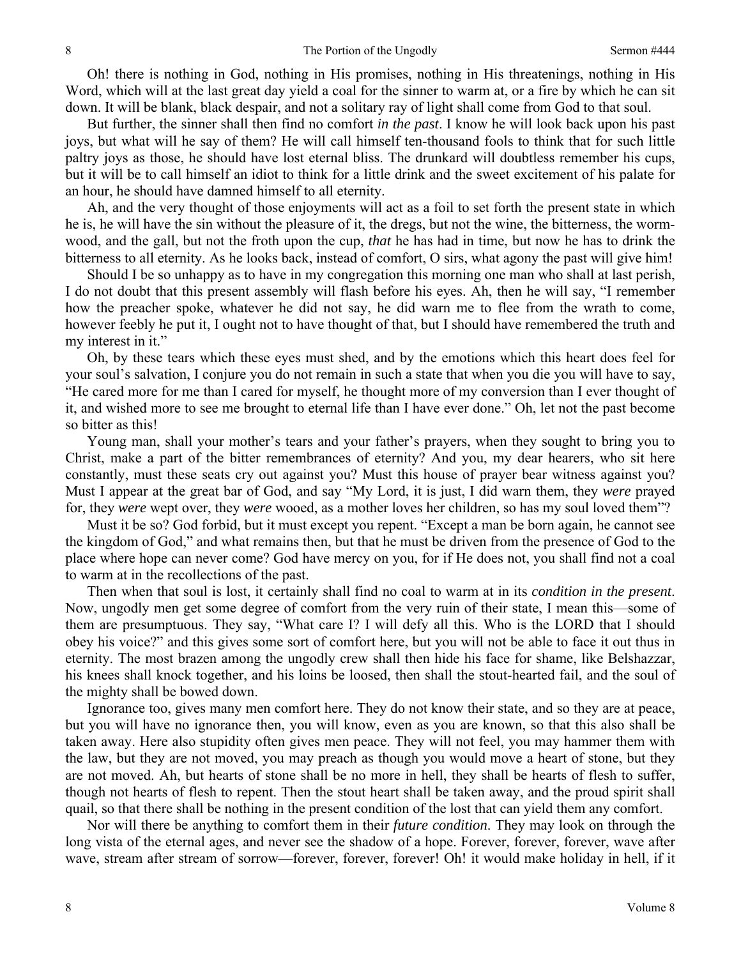Oh! there is nothing in God, nothing in His promises, nothing in His threatenings, nothing in His Word, which will at the last great day yield a coal for the sinner to warm at, or a fire by which he can sit down. It will be blank, black despair, and not a solitary ray of light shall come from God to that soul.

But further, the sinner shall then find no comfort *in the past*. I know he will look back upon his past joys, but what will he say of them? He will call himself ten-thousand fools to think that for such little paltry joys as those, he should have lost eternal bliss. The drunkard will doubtless remember his cups, but it will be to call himself an idiot to think for a little drink and the sweet excitement of his palate for an hour, he should have damned himself to all eternity.

Ah, and the very thought of those enjoyments will act as a foil to set forth the present state in which he is, he will have the sin without the pleasure of it, the dregs, but not the wine, the bitterness, the wormwood, and the gall, but not the froth upon the cup, *that* he has had in time, but now he has to drink the bitterness to all eternity. As he looks back, instead of comfort, O sirs, what agony the past will give him!

Should I be so unhappy as to have in my congregation this morning one man who shall at last perish, I do not doubt that this present assembly will flash before his eyes. Ah, then he will say, "I remember how the preacher spoke, whatever he did not say, he did warn me to flee from the wrath to come, however feebly he put it, I ought not to have thought of that, but I should have remembered the truth and my interest in it."

Oh, by these tears which these eyes must shed, and by the emotions which this heart does feel for your soul's salvation, I conjure you do not remain in such a state that when you die you will have to say, "He cared more for me than I cared for myself, he thought more of my conversion than I ever thought of it, and wished more to see me brought to eternal life than I have ever done." Oh, let not the past become so bitter as this!

Young man, shall your mother's tears and your father's prayers, when they sought to bring you to Christ, make a part of the bitter remembrances of eternity? And you, my dear hearers, who sit here constantly, must these seats cry out against you? Must this house of prayer bear witness against you? Must I appear at the great bar of God, and say "My Lord, it is just, I did warn them, they *were* prayed for, they *were* wept over, they *were* wooed, as a mother loves her children, so has my soul loved them"?

Must it be so? God forbid, but it must except you repent. "Except a man be born again, he cannot see the kingdom of God," and what remains then, but that he must be driven from the presence of God to the place where hope can never come? God have mercy on you, for if He does not, you shall find not a coal to warm at in the recollections of the past.

Then when that soul is lost, it certainly shall find no coal to warm at in its *condition in the present*. Now, ungodly men get some degree of comfort from the very ruin of their state, I mean this—some of them are presumptuous. They say, "What care I? I will defy all this. Who is the LORD that I should obey his voice?" and this gives some sort of comfort here, but you will not be able to face it out thus in eternity. The most brazen among the ungodly crew shall then hide his face for shame, like Belshazzar, his knees shall knock together, and his loins be loosed, then shall the stout-hearted fail, and the soul of the mighty shall be bowed down.

Ignorance too, gives many men comfort here. They do not know their state, and so they are at peace, but you will have no ignorance then, you will know, even as you are known, so that this also shall be taken away. Here also stupidity often gives men peace. They will not feel, you may hammer them with the law, but they are not moved, you may preach as though you would move a heart of stone, but they are not moved. Ah, but hearts of stone shall be no more in hell, they shall be hearts of flesh to suffer, though not hearts of flesh to repent. Then the stout heart shall be taken away, and the proud spirit shall quail, so that there shall be nothing in the present condition of the lost that can yield them any comfort.

Nor will there be anything to comfort them in their *future condition*. They may look on through the long vista of the eternal ages, and never see the shadow of a hope. Forever, forever, forever, wave after wave, stream after stream of sorrow—forever, forever, forever! Oh! it would make holiday in hell, if it